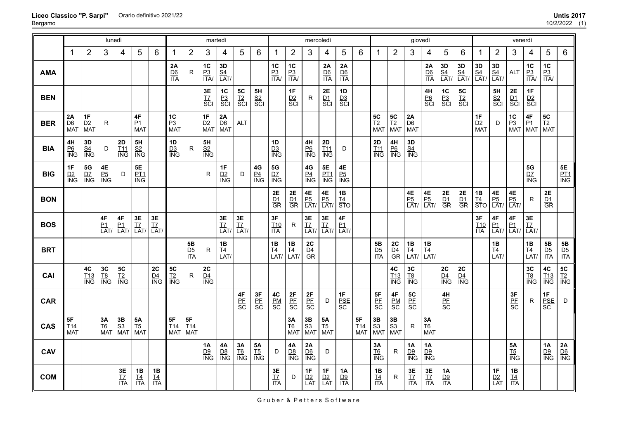|            | lunedì<br>1             |                                    |                                     |                                     |                                                    |                        |                         |                              | martedì                        |                        |                        |                      |                         |                               | mercoledì                            |                                   |                                      |                                |                                               |                         | giovedì                           |                               |                                          |                         |                         |                        | venerdì                           |                          |                                    |                                                    |
|------------|-------------------------|------------------------------------|-------------------------------------|-------------------------------------|----------------------------------------------------|------------------------|-------------------------|------------------------------|--------------------------------|------------------------|------------------------|----------------------|-------------------------|-------------------------------|--------------------------------------|-----------------------------------|--------------------------------------|--------------------------------|-----------------------------------------------|-------------------------|-----------------------------------|-------------------------------|------------------------------------------|-------------------------|-------------------------|------------------------|-----------------------------------|--------------------------|------------------------------------|----------------------------------------------------|
|            |                         | $\overline{2}$                     | 3                                   | $\overline{4}$                      | 5                                                  | 6                      | -1                      | $\overline{2}$               | 3                              | 4                      | 5                      | 6                    | -1                      | $\overline{2}$                | 3                                    | 4                                 | 5                                    | $6\,$                          | -1                                            | $\overline{2}$          | 3                                 | 4                             | 5                                        | $\,6$                   | 1                       | $\overline{2}$         | 3                                 | 4                        | 5                                  | $\,6$                                              |
| <b>AMA</b> |                         |                                    |                                     |                                     |                                                    |                        | 2A<br>$rac{D6}{ITA}$    | R                            | $1C$<br>$rac{P3}{ITA}$         | 3D<br>$\frac{S4}{LAT}$ |                        |                      | 1C<br>$rac{P3}{1TA}$    | 1C<br>$\frac{P3}{ITA}$        |                                      | 2A<br>$rac{D6}{ITA}$              | 2A<br>$rac{D6}{ITA}$                 |                                |                                               |                         |                                   | 2A<br>$rac{D6}{ITA}$          | <b>3D</b><br><u>S4</u><br>LAT/           | 3D<br>$\frac{S4}{LAT}$  | 3D<br>$\frac{S4}{LAT}$  | 3D<br>$\frac{S4}{LAT}$ | <b>ALT</b>                        | 1C<br>$rac{P3}{ITA}$     | 1C<br>$\frac{P3}{ITA}$             |                                                    |
| <b>BEN</b> |                         |                                    |                                     |                                     |                                                    |                        |                         |                              | 3E<br>T7<br>SCI                | $rac{PC}{PC}$<br>SCI   | $rac{TC}{SC}$<br>SCI   | 5H<br>$rac{S2}{SCI}$ |                         | 1F<br>$rac{D2}{SC}$           | $\mathsf{R}$                         | 2E<br>$rac{D1}{SC}$               | 1D<br>$rac{D3}{SCI}$                 |                                |                                               |                         |                                   | $rac{4H}{P6}$<br>SCI          | $rac{P3}{SCI}$                           | $rac{5C}{12}$<br>SCI    |                         | 5H<br>$rac{S2}{SCI}$   | 2E<br>$rac{D1}{SC}$               | 1F<br>$rac{D2}{SC}$      |                                    |                                                    |
| <b>BER</b> | 2A<br>$\frac{D6}{MA1}$  | 1F<br>D2<br><b>MAT</b>             | R                                   |                                     | 4F<br>$\frac{P1}{MAT}$                             |                        | 1C<br>$\frac{P3}{MAT}$  |                              | 1F<br>$\frac{D2}{MAT}$         | $\frac{2A}{DB}$<br>MAT | <b>ALT</b>             |                      |                         |                               |                                      |                                   |                                      |                                | ${\bf 5C}$<br>$rac{T2}{MAT}$                  | 5C<br>$rac{12}{MAT}$    | $\frac{2A}{DB}$<br>MAT            |                               |                                          |                         | 1F<br>D2<br><b>MAT</b>  | D                      | $\frac{1C}{P_3}$<br>MAT           | 4F<br>$\frac{P1}{MAT}$   | 5C<br><u>T2</u><br>MAT             |                                                    |
| <b>BIA</b> | 4H<br>$rac{P6}{ING}$    | 3D<br>$\frac{S4}{ING}$             | D                                   | 2D<br>$\frac{T11}{ING}$             | $\frac{5H}{1N}$                                    |                        | 1D<br>$\frac{D3}{ING}$  | R.                           | 5H<br>$rac{S2}{ING}$           |                        |                        |                      | 1D<br>$\frac{D3}{ING}$  |                               | 4H<br>$rac{P6}{NG}$                  | 2D<br>$rac{111}{100}$             | D                                    |                                | 2D<br>$\frac{T11}{ING}$                       | 4H<br>$rac{P6}{P}$      | 3D<br>$\frac{S4}{ING}$            |                               |                                          |                         |                         |                        |                                   |                          |                                    |                                                    |
| <b>BIG</b> | 1F<br>$\frac{D2}{ING}$  | <b>5G</b><br><u>D7</u><br>ING      | $\frac{4E}{P_0}$<br>$\frac{P_5}{N}$ | D                                   | <b>5E</b><br><u>PT1</u><br>$\overline{\text{ING}}$ |                        |                         |                              | $\mathsf{R}$                   | $\frac{1F}{1N}$        | D                      | $\frac{4G}{10}$      | $\frac{5G}{1NG}$        |                               | $\frac{4G}{\frac{P4}{\text{ING}}}$   | <b>5E</b><br><u>PT1</u><br>ING    | $\frac{4E}{P_0}$<br>$\frac{P_5}{N}$  |                                |                                               |                         |                                   |                               |                                          |                         |                         |                        |                                   | 5G<br>$\frac{D7}{D}$     |                                    | 5E<br><u>PT1</u><br>ING                            |
| <b>BON</b> |                         |                                    |                                     |                                     |                                                    |                        |                         |                              |                                |                        |                        |                      | 2E<br>$rac{D1}{GR}$     | $rac{2E}{GR}$                 | $\frac{4E}{P_0}$<br>LAT/             | 4E<br>$\frac{P5}{LAT}$            | 1B<br>$rac{TA}{STO}$                 |                                |                                               |                         | <b>4E</b><br><u>P5</u><br>LAT/    | $\frac{4E}{P_0}$<br>LAT       | 2E<br>$rac{D_1}{GR}$                     | 2E<br>$rac{D1}{GR}$     | 1B<br>$\frac{T4}{STO}$  | 4E<br>$\frac{P5}{LAT}$ | 4E<br>$\frac{P5}{LAT}$            | R.                       | 2E<br>$rac{D1}{GR}$                |                                                    |
| <b>BOS</b> |                         |                                    | $4\mathsf{F}$<br>$\frac{P1}{LAT}$   | 4F<br>$\frac{P1}{LAT}$              | $3E$<br>$\frac{17}{LAT}$                           | $rac{3E}{LAT}$         |                         |                              |                                | 3E<br>$\frac{17}{LAT}$ | $rac{3E}{LAT}$         |                      | 3F<br>$\frac{T10}{ITA}$ | R.                            | $rac{3E}{17}$<br>LAT/                | $3\mathsf{E}$<br>$\frac{TZ}{LAT}$ | $4\mathsf{F}$<br>$\frac{P1}{LAT}$    |                                |                                               |                         |                                   |                               |                                          |                         | 3F<br>$\frac{T10}{ITA}$ | $\frac{4F}{LAT}$       | 4F<br>$\frac{P1}{LAT}$            | $3E$<br>$\frac{TZ}{LAT}$ |                                    |                                                    |
| <b>BRT</b> |                         |                                    |                                     |                                     |                                                    |                        |                         | ${\bf 5B}$<br>$rac{D5}{1TA}$ | R                              | 1B<br>$\frac{TA}{LAT}$ |                        |                      | 1B<br>$\frac{TA}{LAT}$  | 1B<br>$\frac{TA}{LAT}$        | 2C<br>$rac{D4}{GR}$                  |                                   |                                      |                                | $rac{5B}{1TA}$                                | 2C<br>$rac{D4}{GR}$     | 1B<br>$\frac{TA}{LAT}$            | 1B<br>$\frac{TA}{LAT}$        |                                          |                         |                         | 1B<br>$\frac{14}{LAT}$ |                                   | 1B<br>$\frac{TA}{LAT}$   | ${\bf 5B}$<br>$rac{D5}{1TA}$       | ${\bf 5B}$<br>$rac{\overline{D5}}{\overline{ITA}}$ |
| CAI        |                         | $4\mathrm{C}$<br>$\frac{T13}{ING}$ | 3C<br>$rac{TS}{ING}$                | ${\bf 5C}$<br>$rac{T2}{\text{ING}}$ |                                                    | 2C<br>$\frac{D4}{ING}$ | $rac{TC}{N}$            | $\mathsf{R}$                 | ${\bf 2C}$<br>$\frac{D4}{ING}$ |                        |                        |                      |                         |                               |                                      |                                   |                                      |                                |                                               | 4C<br>$\frac{T13}{ING}$ | 3C<br>$rac{TS}{ING}$              |                               | 2C<br>$\frac{\mathsf{D4}}{\mathsf{ING}}$ | $rac{2C}{\frac{D4}{N}}$ |                         |                        |                                   | 3C<br>$rac{TS}{ING}$     | 4C<br>$\frac{T13}{ING}$            | <b>5C</b><br><u>T2</u><br>ING                      |
| <b>CAR</b> |                         |                                    |                                     |                                     |                                                    |                        |                         |                              |                                |                        | $rac{4F}{\text{BE}}$   | 3F<br>PE<br>SC       | 4C<br>$rac{PM}{SC}$     | $rac{2F}{SC}$                 | 2F<br>$rac{PF}{SC}$                  | D                                 | 1F<br>$\frac{\text{PSE}}{\text{SC}}$ |                                | 5F<br>$rac{\text{PE}}{\text{SC}}$             | 4F<br>$rac{PM}{SC}$     | 5C<br>$rac{\text{PF}}{\text{SC}}$ |                               | 4H<br>$rac{\text{PF}}{\text{SC}}$        |                         |                         |                        | 3F<br>$rac{\text{PE}}{\text{SC}}$ | R.                       | 1F<br>$rac{\text{PSE}}{\text{SC}}$ | D                                                  |
| <b>CAS</b> | 5F<br>$\frac{T14}{MAT}$ |                                    | <b>3А</b><br><u>Т6</u><br>МАТ       | $rac{3B}{S_3}$<br>MAT               | <b>5A</b><br><u>T5</u><br>MAT                      |                        | 5F<br>$\frac{T14}{MAT}$ | 5F<br>$\frac{T14}{MAT}$      |                                |                        |                        |                      |                         | <b>3A</b><br><u>T6</u><br>MAT | $\frac{3B}{S3}$<br>MAT               | 5A<br><u>T5</u><br>MAT            |                                      | <b>5F</b><br><u>T14</u><br>MAT | <b>3B</b><br><u>S3</u><br>MAT                 | $\frac{3B}{S3}$<br>MAT  | R                                 | <b>3A</b><br><u>T6</u><br>MAT |                                          |                         |                         |                        |                                   |                          |                                    |                                                    |
| <b>CAV</b> |                         |                                    |                                     |                                     |                                                    |                        |                         |                              | 1A<br>$\frac{D9}{ING}$         | 4A<br>$\frac{D8}{ING}$ | 3A<br>$\frac{T6}{ING}$ | 5A<br>$rac{TS}{ING}$ | D                       | 4A<br>$\frac{D8}{ING}$        | 2A<br>$\frac{\text{D6}}{\text{ING}}$ | D                                 |                                      |                                | 3A<br>$\underline{\mathsf{T6}}$<br><b>ING</b> | R.                      | 1A<br>$\frac{D9}{ING}$            | 1A<br>$\frac{D9}{ING}$        |                                          |                         |                         |                        | <b>5A</b><br>$rac{TS}{ING}$       |                          | 1A<br>$\frac{D9}{ING}$             | $\frac{2A}{10}$                                    |
| <b>COM</b> |                         |                                    |                                     | 3E<br>$rac{17}{17}$                 | 1B<br>$rac{T4}{1TA}$                               | 1B<br>$\frac{TA}{ITA}$ |                         |                              |                                |                        |                        |                      | 3E<br>$rac{17}{17}$     | D                             | 1F<br>$\frac{D2}{LAT}$               | 1F<br>$\frac{D2}{LAT}$            | <b>1A</b><br>$\frac{D9}{ITA}$        |                                | 1B<br>$\frac{T4}{1TA}$                        | R                       | 3E<br>$rac{17}{17}$               | $3E$<br>$rac{17}{17A}$        | 1A<br>$rac{D9}{ITA}$                     |                         |                         | 1F<br>$\frac{D2}{LAT}$ | 1B<br>$\frac{TA}{ITA}$            |                          |                                    |                                                    |

**Liceo Classico "P. Sarpi"** Bergamo Orario definitivo 2021/22 **Untis 2017**

Gruber & Petters Software

10/2/2022 (1)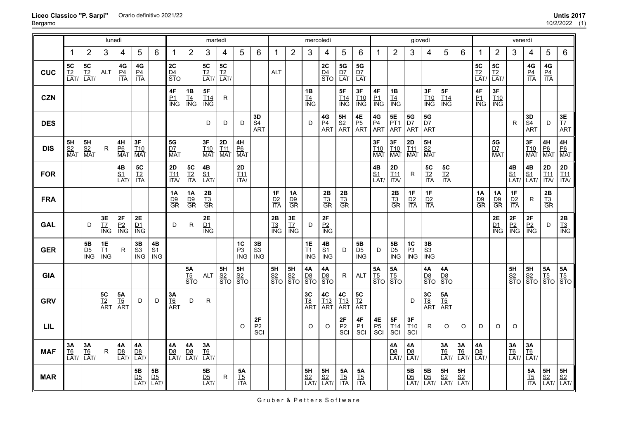|            | lunedì                         |                                                                               |                        |                                 |                               |                                |                               |                              | martedì                           |                                |                                                         |                           |                        |                        | mercoledì                              |                                                   |                                     |                               |                                     |                                | giovedì                          |                                              |                        |                        |                        |                                | venerdì                  |                           |                                 |                                                                                                                                      |
|------------|--------------------------------|-------------------------------------------------------------------------------|------------------------|---------------------------------|-------------------------------|--------------------------------|-------------------------------|------------------------------|-----------------------------------|--------------------------------|---------------------------------------------------------|---------------------------|------------------------|------------------------|----------------------------------------|---------------------------------------------------|-------------------------------------|-------------------------------|-------------------------------------|--------------------------------|----------------------------------|----------------------------------------------|------------------------|------------------------|------------------------|--------------------------------|--------------------------|---------------------------|---------------------------------|--------------------------------------------------------------------------------------------------------------------------------------|
|            | -1                             | $\overline{2}$                                                                | 3                      | 4                               | 5                             | 6                              | -1                            | $\overline{2}$               | 3                                 | $\overline{4}$                 | 5                                                       | $\,6$                     | 1                      | $\overline{2}$         | 3                                      | 4                                                 | 5                                   | 6                             | 1                                   | $\overline{2}$                 | 3                                | 4                                            | 5                      | 6                      | 1                      | $\overline{2}$                 | 3                        | 4                         | 5                               | 6                                                                                                                                    |
| <b>CUC</b> | <b>5C</b><br><u>T2</u><br>LAT/ | $\begin{array}{c}\n 5C \\  \underline{T2} \\  \underline{LAT/}\n \end{array}$ | ALT                    | $rac{4G}{1TA}$                  | $rac{4G}{1TA}$                |                                | $\frac{2C}{D4}$<br>STO        |                              | <b>5C</b><br><u>T2</u><br>LAT/    | <b>5C</b><br><u>T2</u><br>LAT/ |                                                         |                           | <b>ALT</b>             |                        |                                        | $rac{2C}{\frac{D4}{STO}}$                         | <b>5G</b><br><u>D7</u><br>LAT       | <b>5G</b><br><u>D7</u><br>LAT |                                     |                                |                                  |                                              |                        |                        | 5C<br>$\frac{12}{LAT}$ | <b>5C</b><br><u>T2</u><br>LAT/ |                          | 4G<br><u>P4</u><br>ITA    | $4\mathsf{G}$<br>$rac{P4}{ITA}$ |                                                                                                                                      |
| <b>CZN</b> |                                |                                                                               |                        |                                 |                               |                                | $\frac{4F}{N}$                | $\frac{1B}{\frac{T4}{N}}$    | <b>5F</b><br><u>T14</u><br>ING    | ${\sf R}$                      |                                                         |                           |                        |                        | $\frac{1B}{\frac{T4}{N}}$              |                                                   | $\frac{5F}{\frac{T14}{\text{ING}}}$ | 3F<br>T10<br>ING              | 4F<br><u>P1</u><br>ING              | 1B<br>$\frac{T4}{N}$           |                                  | 3F<br>$\frac{T10}{\text{ING}}$               | $\frac{5F}{114}$ ING   |                        | 4F<br>$\frac{P1}{ING}$ | $\frac{3F}{110}$ ING           |                          |                           |                                 |                                                                                                                                      |
| <b>DES</b> |                                |                                                                               |                        |                                 |                               |                                |                               |                              | D                                 | D                              | D                                                       | $rac{3D}{\frac{S4}{ART}}$ |                        |                        | D                                      | $\frac{4G}{PA}$<br>ART                            | $rac{5H}{S2}$<br>ART                | $\frac{4E}{P_5}$<br>ART       | $\frac{4G}{PA}$<br>ART              | <b>5E</b><br><u>PT1</u><br>ART | $rac{5G}{\frac{D7}{ART}}$        | ${\bf 5G}$<br>DZ<br><b>ART</b>               |                        |                        |                        |                                | $\mathsf R$              | $rac{3D}{\frac{S4}{ART}}$ | D                               | 3E<br><u>T7</u><br>ART                                                                                                               |
| <b>DIS</b> | 5H<br>$rac{S2}{MAT}$           | 5H<br>$\frac{S2}{MAT}$                                                        | R                      | 4H<br>$rac{P6}{MAT}$            | $3F$<br>I10<br><b>MAT</b>     |                                | $5{\rm G}$<br>$rac{D7}{MAT}$  |                              | 3F<br>$rac{T10}{MAT}$             | <b>2D</b><br><u>T11</u><br>MAT | 4H<br>$\frac{P6}{MAT}$                                  |                           |                        |                        |                                        |                                                   |                                     |                               | 3F<br>$\frac{110}{MA}$              | 3F<br>$\frac{T10}{MAT}$        | <b>2D</b><br><u>T11</u><br>MAT   | $5\mathsf{H}$<br>$rac{S2}{MAT}$              |                        |                        |                        | 5G<br>$\frac{D7}{MAT}$         |                          | <b>3F</b><br>T10<br>MAT   | $\frac{4H}{P6}$<br>MAT          | 4H<br>$rac{P6}{MAT}$                                                                                                                 |
| <b>FOR</b> |                                |                                                                               |                        | 4B<br>$\frac{S1}{LAT}$          | <b>5C</b><br><u>T2</u><br>ITA |                                | $2D$<br>$\frac{T11}{1TA}$     | <b>5C</b><br>$rac{12}{17A}$  | $4\mathsf{B}$<br>$\frac{S1}{LAT}$ |                                | $2\mathsf{D}$<br>$\underline{111}$<br>$\overline{ITAY}$ |                           |                        |                        |                                        |                                                   |                                     |                               | 4B<br><u>S1</u><br>$\overline{LAT}$ | 2D<br>$\frac{T11}{1TA}$        | R                                | 5C<br>$rac{12}{11A}$                         | 5C<br>$rac{12}{17A}$   |                        |                        |                                | 4B<br>$\frac{S1}{LAT}$   | $\frac{4B}{S1}$<br>LAT/   | 2D<br>$\frac{T11}{1TA}$         | <b>2D</b><br>T11<br>ITA/                                                                                                             |
| <b>FRA</b> |                                |                                                                               |                        |                                 |                               |                                | 1A<br>$rac{D9}{GR}$           | 1A<br>$rac{D9}{GR}$          | 2B<br>$rac{T3}{GR}$               |                                |                                                         |                           | 1F<br>$rac{D2}{ITA}$   | 1Α<br>$\frac{D9}{GR}$  |                                        | 2B<br>$rac{T3}{GR}$                               | 2B<br>$rac{13}{\text{GR}}$          |                               |                                     | 2B<br>$rac{13}{\text{GR}}$     | 1F<br>$rac{D2}{ITA}$             | 1F<br>$rac{D2}{ITA}$                         |                        |                        | 1A<br>$rac{D9}{GR}$    | <b>1A</b><br>$rac{D9}{GR}$     | 1F<br>$\frac{D2}{ITA}$   | R                         | $2B$<br>$13$<br>$GR$            |                                                                                                                                      |
| <b>GAL</b> |                                | D                                                                             | $3E$<br>$rac{17}{10}$  | $2\textrm{F}$<br>$\frac{P2}{P}$ | 2E<br>$\frac{DI}{ING}$        |                                | D                             | $\mathsf{R}$                 | 2E<br>D1<br><b>ING</b>            |                                |                                                         |                           | 2B<br>$\frac{T3}{ING}$ | $rac{3E}{\text{N}}$    | D                                      | $\frac{2F}{P^2}$<br>ING                           |                                     |                               |                                     |                                |                                  |                                              |                        |                        |                        | 2E<br>$\frac{D1}{NG}$          | $\frac{2F}{1NG}$         | $\frac{2F}{ING}$          | D                               | $\frac{2B}{13}$<br>$\frac{13}{10}$                                                                                                   |
| <b>GER</b> |                                | 5B<br>$rac{D5}{NG}$                                                           | $\frac{1E}{1N}$        | R                               | 3B<br>$rac{S3}{ING}$          | $\frac{4B}{SM}$                |                               |                              |                                   |                                | 1C<br>$rac{P3}{ING}$                                    | $\frac{3B}{1N}$           |                        |                        | $1E$<br>$\underline{T1}$<br><b>ING</b> | 4B<br>$rac{S_1}{S_2}$                             | D                                   | <b>5B</b><br><u>D5</u><br>ING | D                                   | 5B<br>$rac{D5}{NG}$            | $rac{PC}{P_3}$<br>$rac{P_3}{N}$  | 3B<br>$rac{S3}{ING}$                         |                        |                        |                        |                                |                          |                           |                                 |                                                                                                                                      |
| <b>GIA</b> |                                |                                                                               |                        |                                 |                               |                                |                               | <b>5A</b><br>$rac{15}{\$70}$ | <b>ALT</b>                        | $\frac{5H}{S^2}$<br>STO        | $rac{5H}{S2}$<br>$STO$                                  |                           | $rac{5H}{STO}$         | $\frac{5H}{S2}$<br>STO | $\frac{4A}{DB}$<br>STO                 | <b>4A</b><br>$rac{\overline{DB}}{\overline{STO}}$ | R                                   | <b>ALT</b>                    | $\frac{5A}{15}$<br>STO              | $\frac{5A}{STO}$               |                                  | <b>4A</b><br>$rac{D8}{STO}$                  | $\frac{4A}{D8}$<br>STO |                        |                        |                                | $rac{5H}{S2}$<br>$STO$   | $rac{5H}{S2}$<br>$STO$    | $\frac{5A}{15}$<br>STO          | $\frac{5A}{\frac{T5}{\text{STO}}}$                                                                                                   |
| <b>GRV</b> |                                |                                                                               | $\frac{5C}{12}$<br>ART | $rac{5A}{15}$<br>ART            | D                             | D                              | <b>3A</b><br><u>T6</u><br>ART | D                            | $\mathsf{R}$                      |                                |                                                         |                           |                        |                        | 3C<br>T8<br>ART                        | 4C<br>$rac{T13}{ART}$                             | $rac{4C}{\frac{113}{\text{ART}}}$   | 5C<br><u>T2</u><br>ART        |                                     |                                | D                                | 3C<br><u>T8</u><br>ART                       | $\frac{5A}{15}$<br>ART |                        |                        |                                |                          |                           |                                 |                                                                                                                                      |
| LIL        |                                |                                                                               |                        |                                 |                               |                                |                               |                              |                                   |                                | O                                                       | 2F<br>$rac{P2}{SCI}$      |                        |                        | $\circ$                                | $\circ$                                           | $rac{2F}{SC}$                       | $\frac{4F}{P_1}$<br>SCI       | 4E<br><u>P5</u><br>SCI              | 5F<br>$rac{T14}{SCI}$          | $3\textrm{F}$<br>$rac{T10}{SCI}$ | R                                            | O                      | O                      | D                      | O                              | O                        |                           |                                 |                                                                                                                                      |
| <b>MAF</b> | 3Α<br>$\frac{T6}{LAT}$         | 3A<br>$\frac{T6}{LAT}$                                                        | R                      | $4A$<br>$\frac{D8}{LAT}$        | 4Α<br>$\frac{D8}{LAT}$        |                                | 4A<br>$\frac{D8}{LAT}$        | 4A<br>$\frac{D8}{LAT}$       | 3A<br>$\frac{T6}{LAT}$            |                                |                                                         |                           |                        |                        |                                        |                                                   |                                     |                               |                                     | 4A<br>$\frac{D8}{LAT}$         | 4A<br>$\frac{D8}{LAT}$           |                                              | 3A<br>$\frac{T6}{LAT}$ | 3A<br>$\frac{T6}{LAT}$ | 4A<br>$\frac{D8}{LAT}$ |                                | $3A$<br>$\frac{T6}{LAT}$ | 3A<br>$\frac{T6}{LAT}$    |                                 |                                                                                                                                      |
| <b>MAR</b> |                                |                                                                               |                        |                                 | 5B<br>$\frac{D5}{LAT}$        | <b>5B</b><br><u>D5</u><br>LAT/ |                               |                              | $5\mathsf{B}$<br>$\frac{D5}{LAT}$ | ${\sf R}$                      | 5A<br>$rac{TS}{ITA}$                                    |                           |                        |                        | 5H<br>$\frac{S2}{LAT}$                 | <b>5H</b><br><u>S2</u><br>LAT/                    | $\frac{5A}{15}$<br>ITA              | <b>5A</b><br>$rac{T5}{1TA}$   |                                     |                                | 5B<br>$\frac{D5}{LAT}$           | 5B<br>$\frac{\overline{D5}}{\overline{LAT}}$ | 5H<br>$\frac{S2}{LAT}$ | 5H<br>$\frac{S2}{LAT}$ |                        |                                |                          | 5A<br>$rac{TS}{ITA}$      |                                 | $\begin{array}{c c}\n\textbf{5H} & \textbf{5H} \\ \underline{\text{S2}} & \underline{\text{S2}} \\ \hline\n\text{LAT/}\n\end{array}$ |

**Liceo Classico "P. Sarpi"** Bergamo Orario definitivo 2021/22 **Untis 2017**

Gruber & Petters Software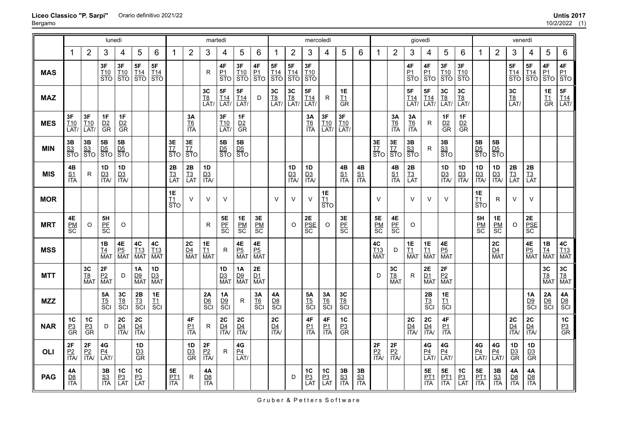|            |                              |                               | lunedì                                              |                                             |                        |                                     |                        |                                    | martedì                         |                                             |                                  |                                      |                                |                                | mercoledì                           |                         |                                                    |                        |                                 |                        | giovedì                     |                                        |                                                        |                                |                                                        |                                              | venerdì                                |                                 |                                                                                 |                               |
|------------|------------------------------|-------------------------------|-----------------------------------------------------|---------------------------------------------|------------------------|-------------------------------------|------------------------|------------------------------------|---------------------------------|---------------------------------------------|----------------------------------|--------------------------------------|--------------------------------|--------------------------------|-------------------------------------|-------------------------|----------------------------------------------------|------------------------|---------------------------------|------------------------|-----------------------------|----------------------------------------|--------------------------------------------------------|--------------------------------|--------------------------------------------------------|----------------------------------------------|----------------------------------------|---------------------------------|---------------------------------------------------------------------------------|-------------------------------|
|            | 1                            | $\overline{2}$                | 3                                                   | 4                                           | 5                      | 6                                   | -1                     | $\overline{2}$                     | 3                               | 4                                           | 5                                | 6                                    | $\mathbf 1$                    | $\overline{2}$                 | 3                                   | 4                       | 5                                                  | 6                      | 1                               | $\overline{2}$         | 3                           | 4                                      | 5                                                      | 6                              |                                                        | $\overline{2}$                               | 3                                      | 4                               | 5                                                                               | 6                             |
| <b>MAS</b> |                              |                               | 3F<br><b>T10</b><br>$\overline{\text{STO}}$         | 3F<br>$\frac{T10}{STO}$                     | 5F<br>$rac{T14}{STO}$  | 5F<br>$rac{T14}{STO}$               |                        |                                    | R                               | $\frac{4F}{P1}$                             | 3F<br>$\frac{T10}{STO}$          | $\frac{4F}{\frac{P1}{STO}}$          | 5F<br>$\frac{T14}{STO}$        | 5F<br>$rac{T14}{STO}$          | 3F<br>T <sub>10</sub><br><b>STO</b> |                         |                                                    |                        |                                 |                        | 4F<br>$\frac{P1}{STO}$      | 4F<br>$rac{P_1}{STO}$                  | 3F<br>$rac{T10}{STO}$                                  | 3F<br><b>T10</b><br><b>STO</b> |                                                        |                                              | 5F<br>$\frac{T14}{STO}$                | 5F<br>$rac{T14}{STO}$           | 4F<br>$\left \frac{\text{p}_1}{\text{STO}}\right \frac{\text{p}_1}{\text{STO}}$ | 4F                            |
| <b>MAZ</b> |                              |                               |                                                     |                                             |                        |                                     |                        |                                    | <b>3C</b><br><u>T8</u><br>LAT/  | 5F<br>$\frac{T14}{LAT}$                     | 5F<br>$\frac{T14}{LAT}$          | D                                    | <b>3C</b><br><u>T8</u><br>LAT/ | <b>3C</b><br><u>T8</u><br>LAT/ | 5F<br>I14<br>LAT/                   | R                       | 1E<br>$\underline{\mathsf{T1}}$<br>$\overline{GR}$ |                        |                                 |                        | 5F<br>$\frac{T14}{LAT}$     | 5F<br>$\frac{T14}{LAT}$                | 3C<br>$\frac{T8}{LAT}$                                 | $3C$<br>$\frac{18}{LAT}$       |                                                        |                                              | <b>3C</b><br><u>T8</u><br>LAT/         |                                 | 1E<br>$rac{I1}{GR}$                                                             | $\frac{5F}{\frac{T14}{LATT}}$ |
| <b>MES</b> | 3F<br>T <sub>10</sub><br>LAT | 3F<br>T <sub>10</sub><br>LAT/ | 1F<br>$rac{D2}{GR}$                                 | 1F<br>D2<br>$\overline{\text{GR}}$          |                        |                                     |                        | 3A<br>$rac{T6}{1TA}$               |                                 | 3F<br>$\frac{T10}{LAT}$                     | 1F<br>$rac{D2}{GR}$              |                                      |                                |                                | 3A<br>$rac{T6}{1TA}$                | 3F<br>$\frac{T10}{LAT}$ | $3F$<br>$\frac{T10}{LAT}$                          |                        |                                 | 3Α<br>$rac{T6}{1TA}$   | 3A<br>$rac{T6}{1TA}$        | R                                      | 1F<br>$rac{D2}{GR}$                                    | 1F<br>$rac{D2}{GR}$            |                                                        |                                              |                                        |                                 |                                                                                 |                               |
| <b>MIN</b> | 3B<br>$rac{S3}{STO}$         | 3B<br>$rac{S3}{STO}$          | ${\bf 5B}$<br>$rac{\overline{D5}}{\overline{ST}}$ O | 5B<br>$rac{\overline{D5}}{\overline{ST}}$ O |                        |                                     | 3E<br>$rac{17}{570}$   | 3E<br>$rac{17}{570}$               |                                 | 5B<br>$rac{\overline{D5}}{\overline{ST}}$ O | $rac{5B}{\frac{D5}{\text{STO}}}$ |                                      |                                |                                |                                     |                         |                                                    |                        | 3E<br>$\frac{17}{570}$          | $rac{3E}{STO}$         | $rac{3B}{\frac{S3}{STO}}$   | R                                      | $3\mathsf{B}$<br>$rac{S3}{STO}$                        |                                | $5\mathsf{B}$<br>$rac{\overline{D5}}{\overline{ST}}$ O | 5B<br>$rac{\overline{D5}}{\overline{ST}}$ O  |                                        |                                 |                                                                                 |                               |
| <b>MIS</b> | 4B<br>$rac{S1}{ITA}$         | R                             | 1D<br>$\frac{D3}{ITA}$                              | 1D<br>$\frac{D3}{ITA}$                      |                        |                                     | 2B<br>$\frac{T3}{LAT}$ | 2B<br>$\frac{1}{13}$<br>LAT        | 1D<br>$\frac{D3}{ITA}$          |                                             |                                  |                                      |                                | 1D<br>$\frac{D3}{ITA}$         | 1D<br>$\frac{D3}{ITA}$              |                         | 4B<br>$rac{S1}{ITA}$                               | 4B<br>$\frac{S1}{ITA}$ |                                 | 4B<br>$rac{S1}{ITA}$   | 2B<br>$\frac{T3}{LAT}$      |                                        | 1D<br>$\frac{D3}{ITA}$                                 | 1D<br>$\frac{D3}{ITA}$         | 1D<br>$\frac{D3}{ITA}$                                 | 1D<br>$\frac{D3}{ITA}$                       | $2\mathsf{B}$<br>$\frac{1}{13}$<br>LAT | 2B<br>$\frac{T3}{LAT}$          |                                                                                 |                               |
| <b>MOR</b> |                              |                               |                                                     |                                             |                        |                                     | 1E<br>$\frac{T1}{STO}$ | $\vee$                             | $\vee$                          | $\vee$                                      |                                  |                                      | $\vee$                         | $\vee$                         | $\vee$                              | 1E<br>$rac{T1}{STO}$    |                                                    |                        | $\vee$                          |                        | $\vee$                      | V                                      | $\vee$                                                 |                                | <b>1E</b><br>$rac{T1}{STO}$                            | $\mathsf{R}$                                 | $\vee$                                 | $\vee$                          |                                                                                 |                               |
| <b>MRT</b> | 4E<br>$rac{PM}{SC}$          | $\circ$                       | 5H<br>$rac{\text{PF}}{\text{SC}}$                   | O                                           |                        |                                     |                        |                                    | $\mathsf R$                     | $\frac{5E}{SE}$                             | 1E<br>$rac{PM}{SC}$              | 3E<br>$rac{PM}{SC}$                  |                                | $\circ$                        | 2E<br>$rac{PSE}{SC}$                | $\circ$                 | 3E<br>PF<br>SC                                     |                        | 5E<br>$rac{PM}{SC}$             | $rac{4E}{SC}$          | O                           |                                        |                                                        |                                | 5H<br>$rac{PM}{SC}$                                    | 1E<br>$rac{PM}{SC}$                          | $\circ$                                | $2\mathsf{E}$<br>$rac{PSE}{SC}$ |                                                                                 |                               |
| <b>MSS</b> |                              |                               | $\frac{1B}{\frac{T4}{MAT}}$                         | $\frac{4E}{P_0}$<br>MAT                     | 4C<br>$rac{T13}{MAT}$  | 4C<br>T <sub>13</sub><br><b>MAT</b> |                        | 2C<br>D <sub>4</sub><br><b>MAT</b> | 1E<br>$\frac{1}{1}$ MAT         | $\mathsf{R}$                                | 4E<br>$rac{P5}{MAT}$             | $\frac{4E}{P_0}$<br>MAT              |                                |                                |                                     |                         |                                                    |                        | 4C<br>$\frac{T13}{MAT}$         | D                      | $\frac{1E}{\frac{11}{MAT}}$ | 1E<br>$\underline{\mathsf{T1}}$<br>MAT | 4E<br>$\overline{P5}$<br><b>MAT</b>                    |                                |                                                        | 2C<br>$\frac{\overline{D4}}{\overline{MAT}}$ |                                        | 4E<br>$rac{P5}{MAT}$            | 1B<br>$\frac{14}{MAT}$                                                          | $rac{4C}{\frac{113}{MAT}}$    |
| <b>MTT</b> |                              | 3C<br>$rac{TS}{MAT}$          | $\frac{2F}{P2}$<br>Mat                              | D                                           | 1A<br>D9<br><b>MAT</b> | 1D<br>D3<br><b>MAT</b>              |                        |                                    |                                 | 1D<br>$\frac{D3}{MAT}$                      | $\frac{1A}{D9}$<br>MAT           | <b>2E</b><br><u>D1</u><br><b>MAT</b> |                                |                                |                                     |                         |                                                    |                        | D                               | 3C<br>$rac{T8}{MAT}$   | R                           | 2E<br>D1<br><b>MAT</b>                 | $rac{2F}{MAT}$                                         |                                |                                                        |                                              |                                        |                                 | 3C<br>$rac{TS}{MAT}$                                                            | $rac{3C}{T_{\text{A}}^8}$     |
| <b>MZZ</b> |                              |                               | <b>5A</b><br>$rac{15}{5}$                           | 3C<br>$rac{TS}{SC}$                         | 2B<br>$rac{T3}{SCI}$   | <b>1E</b><br>$rac{I1}{SCI}$         |                        |                                    | 2A<br>$rac{D6}{SCI}$            | 1A<br>$rac{D9}{SCI}$                        | R                                | $rac{3A}{T6}$<br>SCI                 | 4A<br>$rac{D8}{SC}$            |                                | 5Α<br>$rac{T5}{SCI}$                | 3A<br>$rac{T6}{SCI}$    | 3C<br>$rac{TS}{SC}$                                |                        |                                 |                        |                             | 2B<br>$rac{T3}{SCI}$                   | <b>1E</b><br>$rac{I1}{SCI}$                            |                                |                                                        |                                              |                                        | 1A<br>$rac{D9}{SCI}$            | 2A<br>$rac{D6}{SCI}$                                                            | 4A<br>$rac{D8}{SC}$           |
| <b>NAR</b> | 1C<br>$rac{P3}{GR}$          | 1C<br>$rac{P3}{GR}$           | D                                                   | 2C<br>$\frac{D4}{ITA}$                      | 2C<br>$\frac{D4}{ITA}$ |                                     |                        | 4F<br>$\frac{P1}{ITA}$             | $\mathsf{R}$                    | 2C<br>$\frac{D4}{ITA}$                      | 2C<br>$\frac{D4}{ITA}$           |                                      | 2C<br>$\frac{D4}{ITA}$         |                                | 4F<br>$rac{P1}{ITA}$                | 4F<br>$\frac{P1}{ITA}$  | $1C$<br>$rac{P3}{GR}$                              |                        |                                 |                        | $rac{2C}{\frac{D4}{1TA}}$   | 2C<br>$\frac{D4}{ITA}$                 | $4\mathsf{F}$<br>P1<br><b>ITA</b>                      |                                |                                                        |                                              | 2C<br>$\frac{D4}{ITA}$                 | 2C<br>$\frac{D4}{1TA}$          |                                                                                 | $rac{1C}{\text{B}^3}$         |
| OLI        | 2F<br>$rac{P2}{ITA}$         | 2F<br>$rac{P2}{ITA}$          | $4\mathsf{G}$<br>$\frac{P4}{LAT}$                   |                                             | 1D<br>$rac{D3}{GR}$    |                                     |                        | 1D<br>$\frac{D3}{GR}$              | $2\textrm{F}$<br>$rac{P2}{ITA}$ | R.                                          | 4G<br>$\frac{P4}{LAT}$           |                                      |                                |                                |                                     |                         |                                                    |                        | $2\mathsf{F}$<br>$rac{P2}{ITA}$ | 2F<br>$\frac{P2}{ITA}$ |                             | 4G<br>$\frac{P4}{LAT}$                 | 4G<br>$\frac{P4}{LAT}$                                 |                                | 4G<br>$\frac{P4}{LAT}$                                 | $4\mathsf{G}$<br>$\frac{P4}{LAT}$            | 1D<br>$rac{D3}{GR}$                    | 1D<br>$rac{D3}{GR}$             |                                                                                 |                               |
| <b>PAG</b> | 4Α<br>$\frac{D8}{1TA}$       |                               | 3B<br>$rac{S3}{ITA}$                                | 1C<br>$\frac{P3}{LAT}$                      | 1C<br>$\frac{P3}{LAT}$ |                                     | 5E<br>$rac{PT1}{ITA}$  | R                                  | 4A<br>$\frac{D8}{1TA}$          |                                             |                                  |                                      |                                | D                              | 1 <sup>C</sup><br>$\frac{P3}{LAT}$  | 1C<br>$\frac{P3}{LAT}$  | 3B<br>$rac{S3}{ITA}$                               | 3B<br>$rac{S3}{ITA}$   |                                 |                        |                             | 5E<br>$rac{PT1}{ITA}$                  | $5\mathsf{E}$<br>$rac{\overline{PT1}}{\overline{ITA}}$ | $rac{PC}{P_3}$<br>LAT          | 5E<br>$rac{\text{PT1}}{\text{ITA}}$                    | 3B<br>$rac{S3}{ITA}$                         | 4A<br>$\frac{D8}{ITA}$                 | 4A<br>$rac{D8}{ITA}$            |                                                                                 |                               |

Gruber & Petters Software

#### **Liceo Classico "P. Sarpi"** Orario definitivo 2021/22 **Untis 2017**

Bergamo

10/2/2022 (1)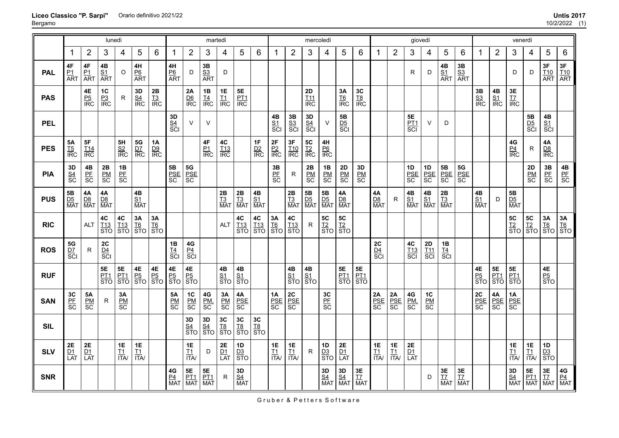|            | lunedì                                       |                            |                                                       |                                           |                                    |                             |                            |                                                                                               | martedì                               |                        |                                     |                             |                                    |                                             | mercoledì                                                                     |                                          |                                   |                                |                            |                                                                                       | giovedì                       |                         |                            |                                     |                                     |                                     | venerdì                                          |                                          |                                            |                                                                                       |
|------------|----------------------------------------------|----------------------------|-------------------------------------------------------|-------------------------------------------|------------------------------------|-----------------------------|----------------------------|-----------------------------------------------------------------------------------------------|---------------------------------------|------------------------|-------------------------------------|-----------------------------|------------------------------------|---------------------------------------------|-------------------------------------------------------------------------------|------------------------------------------|-----------------------------------|--------------------------------|----------------------------|---------------------------------------------------------------------------------------|-------------------------------|-------------------------|----------------------------|-------------------------------------|-------------------------------------|-------------------------------------|--------------------------------------------------|------------------------------------------|--------------------------------------------|---------------------------------------------------------------------------------------|
|            | 1                                            | $\overline{2}$             | 3                                                     | 4                                         | 5                                  | 6                           | 1                          | $\overline{2}$                                                                                | 3                                     | 4                      | 5                                   | 6                           | 1                                  | $\overline{2}$                              | 3                                                                             | 4                                        | 5                                 | 6                              | 1                          | $\overline{2}$                                                                        | 3                             | 4                       | 5                          | 6                                   | 1                                   | $\overline{2}$                      | 3                                                | 4                                        | 5                                          | 6                                                                                     |
| <b>PAL</b> | 4F<br>$\frac{P1}{ART}$                       | 4F<br>$\frac{P1}{ART}$     | $\frac{4B}{S1}$<br>ART                                | O                                         | 4H<br>$rac{P6}{ART}$               |                             | 4H<br>$rac{P6}{ART}$       | D                                                                                             | $\frac{3B}{\frac{S3}{ART}}$           | D                      |                                     |                             |                                    |                                             |                                                                               |                                          |                                   |                                |                            |                                                                                       | R                             | D                       | $\frac{4B}{S1}$<br>ART     | 3B<br>$rac{S3}{ART}$                |                                     |                                     | D                                                | D                                        | $rac{3F}{\frac{110}{\text{ART}}}$          | 3F<br>$\frac{T10}{ART}$                                                               |
| <b>PAS</b> |                                              | $\frac{4E}{P5}$<br>IRC     | $rac{P_3}{R}$                                         | $\mathsf{R}$                              | $rac{3D}{\text{SA}}$<br>IRC        | $\frac{2B}{13}$<br>IRC      |                            | 2A<br>$rac{D6}{IRC}$                                                                          | $\frac{1B}{\frac{T4}{\text{IRC}}}$    | 1E<br>$rac{I1}{IRC}$   | 5E<br>$rac{PT1}{IRC}$               |                             |                                    |                                             | $\begin{array}{c}\n 2D \\  \underline{T11} \\  \underline{IRC}\n \end{array}$ |                                          | 3A<br>$rac{T6}{IRC}$              | $rac{3C}{18}$<br>IRC           |                            |                                                                                       |                               |                         |                            |                                     | $\frac{3B}{S3}$<br>$\frac{S3}{IRC}$ | $\frac{4B}{S1}$<br>$\frac{S1}{IRC}$ | $rac{3E}{\text{IZ}}$<br>$\frac{17}{\text{IRC}}$  |                                          |                                            |                                                                                       |
| <b>PEL</b> |                                              |                            |                                                       |                                           |                                    |                             | 3D<br>$rac{S4}{SCI}$       | $\vee$                                                                                        | $\vee$                                |                        |                                     |                             | 4B<br>$rac{S1}{SCI}$               | $\frac{3B}{S_0}$<br>SCI                     | $3D$<br>$rac{S4}{SCI}$                                                        | $\vee$                                   | 5B<br>$rac{D5}{SC}$               |                                |                            |                                                                                       | 5E<br><u>PT1</u><br>SCI       | $\vee$                  | D                          |                                     |                                     |                                     |                                                  | 5B<br>$rac{\overline{D5}}{\overline{S}}$ | 4B<br>$rac{S_1}{S_1}$                      |                                                                                       |
| <b>PES</b> | 5Α<br>$rac{TS}{IRC}$                         | 5F<br>$rac{T14}{IRC}$      |                                                       | 5H<br>$rac{S2}{IRC}$                      | 5G<br>$rac{D7}{IRC}$               | 1A<br>$rac{D9}{\text{IRC}}$ |                            |                                                                                               | 4F<br>$rac{P_1}{IRC}$                 | 4C<br>$rac{T13}{IRC}$  |                                     | 1F<br>$rac{D2}{\text{IRC}}$ | $\frac{2F}{P2}$                    | 3F<br>$rac{T10}{IRC}$                       | <b>5C</b><br><u>T2</u><br>IRC                                                 | 4H<br>$rac{P6}{IRC}$                     |                                   |                                |                            |                                                                                       |                               |                         |                            |                                     |                                     |                                     | $rac{4G}{\frac{P4}{\text{IRC}}}$                 | ${\sf R}$                                | 4A<br>$rac{D8}{IRC}$                       |                                                                                       |
| <b>PIA</b> | 3D<br>$rac{S_4}{S_6}$                        | $rac{4B}{\text{PE}}$<br>SC | $\frac{\mathsf{P} \mathsf{M}}{\mathsf{S} \mathsf{C}}$ | 1B<br>$rac{\overline{PF}}{\overline{SC}}$ |                                    |                             | 5B<br>PSE<br>SC            | $\frac{5G}{\text{SCE}}$                                                                       |                                       |                        |                                     |                             | $rac{3B}{\text{PE}}$<br>SC         | R                                           | 2B<br>$rac{\overline{PM}}{\overline{SC}}$                                     | $\frac{1B}{8}$                           | $\frac{\text{2D}}{\text{BM}}$     | $3D$<br>$rac{PM}{SC}$          |                            |                                                                                       | 1D<br>$rac{PSE}{SC}$          | 1D<br>PSE<br>SC         | 5B<br>PSE<br>SC            | $\frac{\mathbf{5G}}{\text{PSE}}$ sc |                                     |                                     |                                                  | $\frac{2D}{\text{PM}}$<br>SC             | $rac{3B}{\text{PE}}$<br>SC                 | $\frac{4B}{\text{PE}}$                                                                |
| <b>PUS</b> | 5B<br>$\frac{\overline{D5}}{\overline{MAT}}$ | 4A<br>$\frac{DB}{MAT}$     | $\frac{4A}{D8}$<br>Mat                                |                                           | 4B<br>$\frac{SI}{MAT}$             |                             |                            |                                                                                               |                                       | $\frac{2B}{T3}$<br>Mat | $2B$<br>$\frac{T3}{MA}$             | $\frac{4B}{S1}$<br>Mat      |                                    | $\frac{2B}{T3}$<br>Mat                      | $\frac{5B}{D5}$<br>Mat                                                        | 5B<br>$\frac{\mathsf{D5}}{\mathsf{MAT}}$ | 4A<br>$\frac{D8}{MAT}$            |                                | 4A<br>$\frac{D8}{MAT}$     | $\mathsf{R}$                                                                          | <b>4B</b><br><u>S1</u><br>MAT | 4B<br>$\frac{SI}{MAT}$  | 2B<br>$\frac{T3}{MAT}$     |                                     | 4B<br>$\frac{S1}{MAT}$              | D                                   | <b>5B</b><br><u>D5</u><br>MAT                    |                                          |                                            |                                                                                       |
| <b>RIC</b> |                                              | <b>ALT</b>                 | 4C<br>T <sub>13</sub><br>STO                          | $rac{4C}{\text{STO}}$                     | $\frac{3A}{\frac{16}{\text{STO}}}$ | $rac{3A}{16}$<br>STO        |                            |                                                                                               |                                       | <b>ALT</b>             | $rac{4C}{\frac{113}{\text{STO}}}$   | 4C<br><u>T13</u><br>STO     | $rac{3A}{16}$<br>STO               | 4C<br>$rac{113}{STO}$                       | R                                                                             | 5C<br>T2<br>STO                          | $rac{5C}{\sqrt{12}}$<br>STO       |                                |                            |                                                                                       |                               |                         |                            |                                     |                                     |                                     | 5C<br><u>T2</u><br>STO                           | $rac{5C}{\sqrt{12}}$<br>STO              |                                            | $\begin{array}{c c}\n3A & 3A \\ \hline\n\frac{T6}{STO} & \frac{T6}{STO}\n\end{array}$ |
| <b>ROS</b> | $5{\rm G}$<br>$rac{D7}{SC}$                  | R.                         | ${\bf 2C}$<br>$rac{D4}{SC}$                           |                                           |                                    |                             | $\frac{1B}{S}$             | $rac{4G}{8Cl}$                                                                                |                                       |                        |                                     |                             |                                    |                                             |                                                                               |                                          |                                   |                                | 2C<br>$rac{D4}{SC}$        |                                                                                       | 4C<br>T <sub>13</sub><br>SCI  | $\frac{2D}{\text{SCI}}$ | $\frac{1B}{\frac{T4}{SC}}$ |                                     |                                     |                                     |                                                  |                                          |                                            |                                                                                       |
| <b>RUF</b> |                                              |                            | 5E<br>PT1<br>STO                                      | <b>5E</b><br><u>PT1</u><br>STO            | $\frac{4E}{P_0}$<br>STO            | $\frac{4E}{P_5}$<br>STO     | 4E<br><u>P5</u><br>STO     | $\frac{4E}{P_5}$<br>STO                                                                       |                                       | 4B<br>$rac{S1}{STO}$   | $\frac{4B}{S1}$<br>$\frac{S1}{STO}$ |                             |                                    | 4B<br>$\frac{S1}{STO}$                      | 4B<br>$\frac{S1}{STO}$                                                        |                                          | <b>5E</b><br><u>PT1</u><br>STO    | <b>5E</b><br><u>PT1</u><br>STO |                            |                                                                                       |                               |                         |                            |                                     | $\frac{4E}{P_5}$<br>STO             | <b>5E</b><br>PT1<br>STO             | <b>5E</b><br><u>PT1</u><br>STO                   |                                          | $\frac{4E}{P_5}$<br>STO                    |                                                                                       |
| <b>SAN</b> | 3C<br>$rac{\text{PF}}{\text{SC}}$            | <b>5A</b><br>$rac{PM}{SC}$ | R                                                     | 3A<br>$rac{PM}{SC}$                       |                                    |                             | <b>5A</b><br>$rac{PM}{SC}$ | $1C$<br>$rac{PM}{SC}$                                                                         | 4G<br>PM<br>SC                        | $3A$<br>$rac{PM}{SC}$  | 4A<br>$rac{PSE}{SC}$                |                             | 1A<br>$rac{PSE}{SC}$               | $\frac{\text{2C}}{\text{PSE}} \\ \text{SC}$ |                                                                               | 3C<br>$rac{\text{PE}}{\text{SC}}$        |                                   |                                | $rac{2A}{PSE}$<br>SC       | $\begin{array}{l} \textbf{2A} \\ \underline{\textbf{PSE}} \\ \textbf{SC} \end{array}$ | 4G<br>PM.<br>SC               | 1C<br>$rac{PM}{SC}$     |                            |                                     | 2C<br>PSE<br>SC                     | 4A<br>$rac{\text{PSE}}{\text{SC}}$  | $\begin{array}{c}\n1A \\ PSE \\ SC\n\end{array}$ |                                          |                                            |                                                                                       |
| <b>SIL</b> |                                              |                            |                                                       |                                           |                                    |                             |                            | $\begin{array}{c} 3D \\ \underline{\underline{S4}} \\ \underline{\underline{S7}} \end{array}$ | $rac{3D}{\frac{S4}{STO}}$             | 3C<br>$rac{18}{STO}$   | $rac{3C}{18}$<br>STO                | $rac{3C}{18}$<br>STO        |                                    |                                             |                                                                               |                                          |                                   |                                |                            |                                                                                       |                               |                         |                            |                                     |                                     |                                     |                                                  |                                          |                                            |                                                                                       |
| <b>SLV</b> | 2E<br>$\frac{D1}{LAT}$                       | $2E$<br>$\frac{D1}{LAT}$   |                                                       | 1E<br>$\frac{T1}{1TA}$                    | $\frac{1E}{11}$<br>$\frac{11}{11}$ |                             |                            | 1E<br>$\frac{11}{11}$                                                                         | D                                     | 2E<br>$\frac{D1}{LAT}$ | 1D<br>$rac{D3}{STO}$                |                             | $\frac{1E}{11}$<br>$\frac{11}{11}$ | $\frac{1E}{11}$<br>$\frac{11}{11}$          | R                                                                             | 1D<br>$\frac{D3}{STO}$                   | $2\mathsf{E}$<br>$\frac{D1}{LAT}$ |                                | <b>1E</b><br>$rac{11}{11}$ | $\frac{1E}{11}$<br>$\frac{11}{11}$                                                    | $rac{2E}{\frac{D1}{LAT}}$     |                         |                            |                                     |                                     |                                     | $\frac{1E}{11}$<br>$\frac{11}{11}$               | 1E<br>$\frac{11}{11}$                    | 1D<br>$rac{\overline{D3}}{\overline{STO}}$ |                                                                                       |
| <b>SNR</b> |                                              |                            |                                                       |                                           |                                    |                             | 4G<br>$\frac{P4}{MAT}$     | 5E<br><u>PT1</u><br>MAT                                                                       | <b>5E</b><br><u>PT1</u><br><b>MAT</b> | R                      | $\frac{3D}{\frac{S4}{MAT}}$         |                             |                                    |                                             |                                                                               | <b>3D<br/><u>S4</u></b><br>MAT           | $\frac{3D}{\frac{S4}{MAT}}$       | $rac{3E}{\frac{17}{MAT}}$      |                            |                                                                                       |                               | D                       | 3E<br>$\frac{17}{2}$ MAT   | 3E<br><u>T7</u><br>MAT              |                                     |                                     | $rac{3D}{\frac{S4}{MAT}}$                        | <b>5E</b><br><u>PT1</u><br>MAT           | 3E<br><u>T7</u><br>MAT                     | $\frac{4G}{P4}$<br>MAT                                                                |

Gruber & Petters Software

#### **Liceo Classico "P. Sarpi"** Orario definitivo 2021/22 **Untis 2017**

Bergamo

10/2/2022 (1)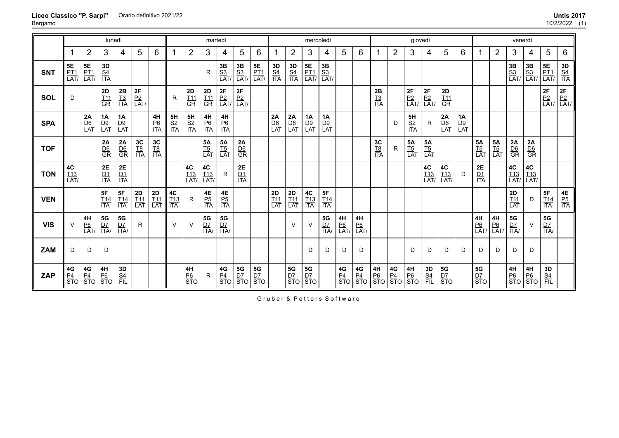|            |                                                          |                                 | lunedì                          |                               |                                  |                      |                               |                             | martedì                                                                                     |                                     |                                |                                                                                           |                                |                                  | mercoledì                                                                                                                            |                               |                      |                                 |                                  |                        | giovedì                |                                |                             |                             |                                   |                             | venerdì                          |                         |                                 |                                       |
|------------|----------------------------------------------------------|---------------------------------|---------------------------------|-------------------------------|----------------------------------|----------------------|-------------------------------|-----------------------------|---------------------------------------------------------------------------------------------|-------------------------------------|--------------------------------|-------------------------------------------------------------------------------------------|--------------------------------|----------------------------------|--------------------------------------------------------------------------------------------------------------------------------------|-------------------------------|----------------------|---------------------------------|----------------------------------|------------------------|------------------------|--------------------------------|-----------------------------|-----------------------------|-----------------------------------|-----------------------------|----------------------------------|-------------------------|---------------------------------|---------------------------------------|
|            |                                                          | $\overline{2}$                  | 3                               | 4                             | 5                                | 6                    | 1                             | $\overline{2}$              | 3                                                                                           | 4                                   | 5                              | 6                                                                                         |                                | $\overline{2}$                   | 3                                                                                                                                    | 4                             | 5                    | 6                               |                                  | $\overline{2}$         | 3                      | 4                              | 5                           | 6                           |                                   | $\overline{2}$              | 3                                | 4                       | 5                               | 6                                     |
| <b>SNT</b> | $5\mathsf{E}$<br>$\frac{\overline{PT1}}{\overline{LAT}}$ | <b>5E</b><br><u>PT1</u><br>LAT/ | 3D<br>$rac{S4}{ITA}$            |                               |                                  |                      |                               |                             | $\mathsf{R}$                                                                                | $\frac{3B}{S3}$<br>LAT <sub>/</sub> | <b>3B</b><br><u>S3</u><br>LAT/ | $\begin{array}{c} 5E \\ \underline{\mathsf{PT1}} \\ \underline{\mathsf{LAT}} \end{array}$ | <b>3D<br/><u>S4</u></b><br>ITA | <b>3D</b><br><u>S4</u><br>ITA    | $\begin{array}{c} \n\overline{\mathbf{5}}\mathbf{E} \\ \frac{\mathbf{P}\mathbf{T1}}{\mathbf{L}\mathbf{A}\mathbf{T}}} \\ \end{array}$ | $\frac{3B}{S3}$<br>LAT/       |                      |                                 |                                  |                        |                        |                                |                             |                             |                                   |                             | $\frac{3B}{S3}$<br>LAT           | $\frac{3B}{S3}$<br>LAT/ | <b>5E</b><br><u>PT1</u><br>LAT/ | $rac{3D}{\frac{S4}{1TA}}$             |
| SOL        | D                                                        |                                 | $2\mathsf{D}$<br>$rac{T11}{GR}$ | <b>2B</b><br><u>T3</u><br>ITA | <b>2F</b><br><u>P2</u><br>LAT/   |                      | R                             | 2D<br>$rac{111}{\text{GR}}$ | 2D<br>T11<br>GR                                                                             | <b>2F</b><br><u>P2</u><br>LAT/      | <b>2F</b><br><u>P2</u><br>LAT/ |                                                                                           |                                |                                  |                                                                                                                                      |                               |                      |                                 | 2B<br>$rac{T3}{17A}$             |                        | 2F<br>$\frac{P2}{LAT}$ | <b>2F</b><br><u>P2</u><br>LAT/ | 2D<br><u>T11</u><br>GR      |                             |                                   |                             |                                  |                         | $2F$<br>$P2$<br>LAT             | $2F$<br>$P2$<br>LAT/                  |
| <b>SPA</b> |                                                          | 2A<br>$\frac{D6}{LAT}$          | 1A<br>$\frac{D9}{LAT}$          | <b>1A</b><br>$\frac{D9}{LAT}$ |                                  | 4H<br>$rac{P6}{ITA}$ | <b>5H</b><br><u>S2</u><br>ITA | 5H<br>$rac{S2}{ITA}$        | 4H<br>$rac{P6}{ITA}$                                                                        | 4H<br>$rac{P6}{ITA}$                |                                |                                                                                           | 2A<br>$\frac{D6}{LAT}$         | $\frac{2A}{DB}$                  | 1A<br>$\frac{D9}{LAT}$                                                                                                               | <b>1A</b><br>$\frac{D9}{LAT}$ |                      |                                 |                                  | D                      | 5H<br>$rac{S2}{ITA}$   | R                              | 2A<br>$rac{D6}{LAT}$        | $\frac{1A}{\frac{D9}{LAT}}$ |                                   |                             |                                  |                         |                                 |                                       |
| <b>TOF</b> |                                                          |                                 | 2A<br>$rac{D6}{GR}$             | $\frac{2A}{DB}$               | $rac{3C}{18}$<br>$rac{18}{17A}$  | 3C<br>$rac{TS}{ITA}$ |                               |                             | 5A<br>$rac{TS}{LAT}$                                                                        | $\frac{5A}{15}$<br>LAT              | $\frac{2A}{DB}$                |                                                                                           |                                |                                  |                                                                                                                                      |                               |                      |                                 | 3 <sub>C</sub><br>$rac{TS}{ITA}$ | R                      | $5A$<br>$rac{TS}{LAT}$ | <b>5A</b><br>$rac{TS}{LAT}$    |                             |                             | <b>5A</b><br>$rac{TS}{LAT}$       | <b>5A</b><br>$rac{TS}{LAT}$ | $2A$<br>$rac{D6}{GR}$            | 2A<br>$rac{D6}{GR}$     |                                 |                                       |
| <b>TON</b> | $rac{4C}{LAT}$                                           |                                 | $rac{2E}{1TA}$                  | <b>2E</b><br><u>D1</u><br>ITA |                                  |                      |                               | 4C<br>$\frac{T13}{LAT}$     | $\begin{array}{c}\n\mathbf{4C} \\ \frac{\mathbf{T13}}{\mathsf{LAT}/\mathsf{}}\n\end{array}$ | $\mathsf{R}$                        | 2E<br>$\frac{D1}{ITA}$         |                                                                                           |                                |                                  |                                                                                                                                      |                               |                      |                                 |                                  |                        |                        | 4C<br>$\frac{T13}{LAT}$        | $rac{4C}{\frac{113}{LAT}}$  | D                           | $2\mathsf{E}$<br>$\frac{D1}{1TA}$ |                             | <b>4C</b><br>T13<br>LAT          | $rac{4C}{LAT}$          |                                 |                                       |
| <b>VEN</b> |                                                          |                                 | 5F<br>$\frac{T14}{1TA}$         | <b>5F</b><br>T14<br>ITA       | $2D$<br>$\underline{T11}$<br>LAT | $\frac{2D}{LAT}$     | 4C<br>$rac{T13}{ITA}$         | R                           | $4\mathsf{E}$<br>$rac{P5}{ITA}$                                                             | 4E<br>$rac{P5}{ITA}$                |                                |                                                                                           | 2D<br>$\frac{T11}{LAT}$        | $2D$<br>$\underline{T11}$<br>LAT | $rac{4C}{113}$<br>$1TA$                                                                                                              | 5F<br>$\frac{T14}{ITA}$       |                      |                                 |                                  |                        |                        |                                |                             |                             |                                   |                             | $2D$<br>$\underline{T11}$<br>LAT | D                       | 5F<br>$\frac{T14}{ITA}$         | $\frac{4E}{P_2}$<br>$\frac{P_5}{ITA}$ |
| <b>VIS</b> | $\vee$                                                   | 4H<br>$rac{P6}{LAT}$            | <b>5G</b><br><u>D7</u><br>ITA/  | ${\bf 5G}$<br>$rac{D7}{1TA}$  | R                                |                      | $\vee$                        | $\vee$                      | $5\mathsf{G}$<br>$rac{D7}{1TA}$                                                             | $5\mathsf{G}$<br>$rac{D7}{1TA}$     |                                |                                                                                           |                                | $\vee$                           | $\vee$                                                                                                                               | ${\bf 5G}$<br>$rac{D7}{1TA}$  | 4H<br>$rac{P6}{LAT}$ | $4H$<br>$rac{P6}{LAT}$          |                                  |                        |                        |                                |                             |                             | 4H<br>$rac{P6}{LAT}$              | 4H<br>$\frac{P6}{LAT}$      | $5\mathsf{G}$<br>$rac{D7}{1TA}$  | $\vee$                  | $5\mathsf{G}$<br>$rac{D7}{1TA}$ |                                       |
| <b>ZAM</b> | D                                                        | D                               | D                               |                               |                                  |                      |                               |                             |                                                                                             |                                     |                                |                                                                                           |                                |                                  | D                                                                                                                                    | D                             | D                    | D                               |                                  |                        | D                      | D                              | D                           | D                           | D.                                | D                           | D                                | D                       |                                 |                                       |
| <b>ZAP</b> | 4G<br>$rac{P4}{STO}$                                     | 4G<br>$rac{P4}{STO}$            | 4H<br>$rac{P6}{STO}$            | 3D<br>$rac{S4}{FIL}$          |                                  |                      |                               | 4H<br>$rac{P6}{STO}$        | R                                                                                           | $4{\mathsf G}$<br>$rac{P4}{STO}$    | 5G<br>$rac{D7}{STO}$           | $5{\rm G}$<br>$rac{D7}{STO}$                                                              |                                | 5G<br>$rac{D7}{STO}$             | 5G<br>$\frac{D7}{STO}$                                                                                                               |                               | 4G<br>$rac{P4}{STO}$ | $4\mathsf{G}$<br>$rac{P4}{STO}$ | $\frac{4H}{P_0}$<br>STO          | $\frac{4G}{P4}$<br>STO | 4H<br><u>P6</u><br>STO | 3D<br>$rac{S4}{FIL}$           | <b>5G</b><br>$rac{D7}{STO}$ |                             | <b>5G</b><br>$rac{D7}{STO}$       |                             | 4H<br>$rac{P6}{STO}$             | $\frac{4H}{P_0}$<br>STO | 3D<br>$rac{S4}{FIL}$            |                                       |

**Liceo Classico "P. Sarpi"** Bergamo Orario definitivo 2021/22 **Untis 2017**

Gruber & Petters Software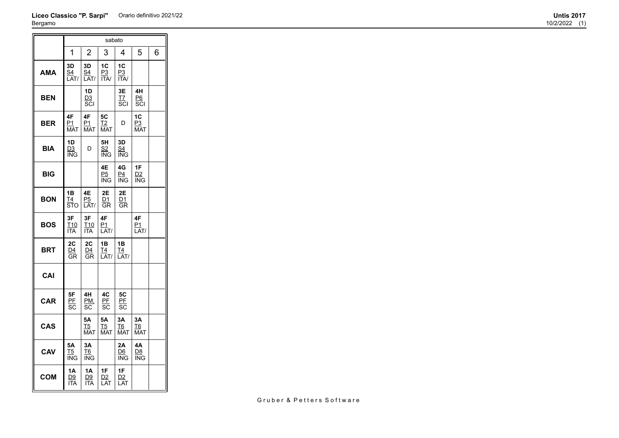# **Liceo Classico "P. Sarpi"** Orario definitivo 2021/22 **Untis 2017** Bergamo

|            |                               |                                   | sabato                              |                              |                        |   |
|------------|-------------------------------|-----------------------------------|-------------------------------------|------------------------------|------------------------|---|
|            | 1                             | $\overline{2}$                    | 3                                   | 4                            | 5                      | 6 |
| <b>AMA</b> | 3D<br><u>s4</u><br>LAT/       | 3D<br>S <sub>4</sub><br>LAT/      | 1C<br>P3<br><b>ITA/</b>             | 1 <sub>C</sub><br>P3<br>ITA/ |                        |   |
| <b>BEN</b> |                               | 1D<br><u>D3</u><br>SCI            |                                     | 3E<br>TZ<br>SCI              | 4H<br>P6<br>SCI        |   |
| <b>BER</b> | 4F<br><u>P1</u><br>MAT        | 4F<br><u>P1</u><br><b>MAT</b>     | 5C<br>$\overline{12}$<br><b>MAT</b> | D                            | 1C<br>P3<br><b>MAT</b> |   |
| BIA        | 1D<br>D <sub>3</sub><br>ING   | D                                 | 5H<br>S <sub>2</sub><br>ING         | 3D<br>S <sub>4</sub><br>ING  |                        |   |
| BIG        |                               |                                   | 4E<br>P <sub>5</sub><br>ING         | 4G<br>P <sub>4</sub><br>ING  | 1F<br><u>D2</u><br>ING |   |
| <b>BON</b> | 1B<br>T4<br>STO               | 4E<br>P5<br>LAT/                  | 2E<br>D1<br>GR                      | 2E<br><u>D1</u><br><b>GR</b> |                        |   |
| <b>BOS</b> | 3F<br>T10<br><b>ITA</b>       | 3F<br>T10<br><b>ITA</b>           | 4F<br>P1<br>LAT/                    |                              | 4F<br>P1<br>LAT/       |   |
| BRT        | 2C<br>D4<br>GR                | 2C<br>D4<br>GR                    | 1B<br>T4<br>LAT/                    | 1B<br>T4<br>LAT/             |                        |   |
| CAI        |                               |                                   |                                     |                              |                        |   |
| <b>CAR</b> | 5F<br>PE<br>SC                | 4H<br>PM,<br>SC                   | 4C<br>PE<br>SC                      | 5C<br>PF<br>SC               |                        |   |
| <b>CAS</b> |                               | 5Α<br><u>T5</u><br><b>MAT</b>     | 5Α<br>$15$<br><b>MAT</b>            | 3A<br>T6<br><b>MAT</b>       | 3A<br>T6<br><b>MAT</b> |   |
| CAV        | 5Α<br>T5<br>ING               | 3A<br><b>T<sub>6</sub></b><br>ING |                                     | 2Α<br>D <sub>6</sub><br>ING  | 4Α<br>D8<br>ING        |   |
| <b>COM</b> | 1Α<br><u>D9</u><br><b>ITA</b> | 1A<br><u>D9</u><br><b>ITA</b>     | 1F<br>D <sub>2</sub><br>LAT         | 1F<br>D2<br>LAT              |                        |   |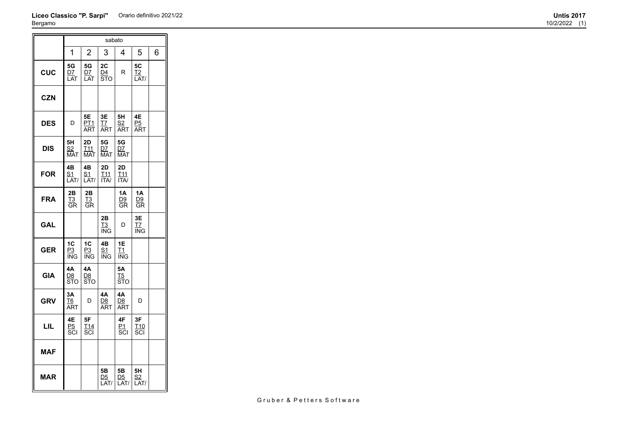# **Liceo Classico "P. Sarpi"** Orario definitivo 2021/22 **Untis 2017** Bergamo  $\overline{\mathsf{T}}$ sabato

|            |                             |                                     | sabalo                                           |                                      |                                                                    |   |
|------------|-----------------------------|-------------------------------------|--------------------------------------------------|--------------------------------------|--------------------------------------------------------------------|---|
|            | 1                           | $\overline{2}$                      | 3                                                | 4                                    | 5                                                                  | 6 |
| <b>CUC</b> | 5G<br>D7<br>LAT             | 5G<br>D7<br>LAT                     | 2C<br>D <sub>4</sub><br>$\overline{\text{ST}}$ O | R                                    | 5C<br>T <sub>2</sub><br>LAT/                                       |   |
| <b>CZN</b> |                             |                                     |                                                  |                                      |                                                                    |   |
| <b>DES</b> | D                           | 5E<br>PT <sub>1</sub><br>ART        | 3E<br><u>T7</u><br><b>ART</b>                    | 5H<br>S <sub>2</sub><br><b>ART</b>   | 4E<br>P <sub>5</sub><br><b>ART</b>                                 |   |
| DIS        | 5Н<br>S2<br><b>MAT</b>      | 2D<br>T <sub>11</sub><br><b>MAT</b> | 5G<br><b>D7</b><br><b>MAT</b>                    | 5G<br><b>D7</b><br><b>MAT</b>        |                                                                    |   |
| <b>FOR</b> | 4B<br><u>S1</u><br>LAT/     | 4B<br><u>S1</u><br>LAT/             | 2D<br><u>T11</u><br><b>ITA/</b>                  | 2D<br>T <sub>11</sub><br>ITA/        |                                                                    |   |
| <b>FRA</b> | 2Β<br>$\overline{13}$<br>ĜR | 2B<br><u>T3</u><br>GR               |                                                  | 1A<br>D <sub>9</sub><br>GR           | <b>1A</b><br>D9<br>GR                                              |   |
| <b>GAL</b> |                             |                                     | 2B<br>T3<br>ING                                  | D                                    | 3E<br>$\underline{\mathsf{T}}\underline{\mathsf{T}}$<br><b>ING</b> |   |
| GER        | 1 <sub>C</sub><br>P3<br>ING | 1 <sub>C</sub><br>P3<br><b>ING</b>  | 4B<br>S <sub>1</sub><br>ING                      | 1E<br>T1<br><b>ING</b>               |                                                                    |   |
| <b>GIA</b> | 4Α<br>D8<br>STO             | 4A<br>D8<br><b>STO</b>              |                                                  | 5Α<br>$\underline{15}$<br><b>STO</b> |                                                                    |   |
| <b>GRV</b> | 3A<br>T6<br><b>ART</b>      | D                                   | 4A<br><b>D<sub>8</sub></b><br>ART                | 4A<br>D <sub>8</sub><br>ART          | D                                                                  |   |
| LIL        | 4Ε<br>P <sub>5</sub><br>SCI | 5F<br>T <sub>14</sub><br>SCI        |                                                  | 4F<br>P1<br>scı                      | 3F<br>T <sub>10</sub><br>SCI                                       |   |
| MAF        |                             |                                     |                                                  |                                      |                                                                    |   |
| <b>MAR</b> |                             |                                     | 5Β<br>D <sub>5</sub><br>LAT/                     | 5 <b>B</b><br><u>D5</u><br>AT/<br>L  | 5H<br>S <sub>2</sub><br>LAT/                                       |   |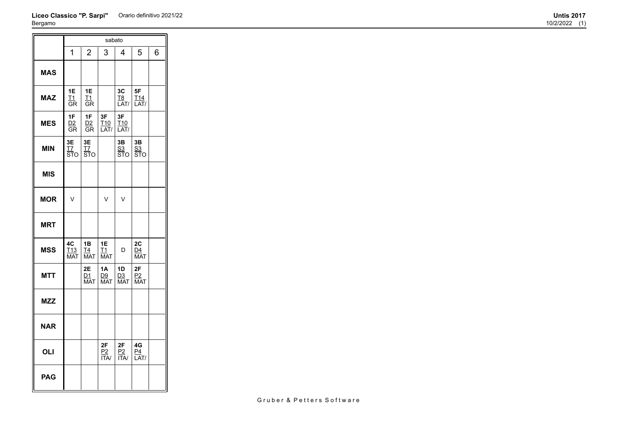# **Liceo Classico "P. Sarpi"** Orario definitivo 2021/22 **Untis 2017** Bergamo

 $\overline{ }$ 

|            |                                     |                                       | sabato                        |                                    |                               |   |
|------------|-------------------------------------|---------------------------------------|-------------------------------|------------------------------------|-------------------------------|---|
|            | 1                                   | $\overline{2}$                        | 3                             | 4                                  | 5                             | 6 |
| <b>MAS</b> |                                     |                                       |                               |                                    |                               |   |
| <b>MAZ</b> | 1E<br>T1<br>GR                      | 1E<br>$\underline{\mathsf{T1}}$<br>GR |                               | 3C<br>T <sub>8</sub><br>LAT/       | 5F<br>T <sub>14</sub><br>LAT/ |   |
| <b>MES</b> | 1F<br>D2<br>GR                      | 1F<br>D2<br>GR                        | 3F<br>T <sub>10</sub><br>LAT/ | 3F<br>T <sub>10</sub><br>LAT/      |                               |   |
| <b>MIN</b> | 3E<br><u>T7</u><br>ӟт҃о             | 3E<br>$17$<br>ӟт҃о                    |                               | 3B<br><u>S3</u><br>STO             | 3B<br>S <sub>3</sub><br>STO   |   |
| <b>MIS</b> |                                     |                                       |                               |                                    |                               |   |
| <b>MOR</b> | V                                   |                                       | V                             | $\vee$                             |                               |   |
| <b>MRT</b> |                                     |                                       |                               |                                    |                               |   |
| <b>MSS</b> | 4C<br>T <sub>13</sub><br><b>MAT</b> | 1B<br>T <sub>4</sub><br><b>MAT</b>    | 1E<br>T1<br><b>MAT</b>        | D                                  | 2C<br>D4<br><b>MAT</b>        |   |
| <b>MTT</b> |                                     | 2E<br>D1<br><b>MAT</b>                | <b>1A</b><br>D9<br><b>MAT</b> | 1D<br>D <sub>3</sub><br><b>MAT</b> | 2F<br>P2<br><b>MAT</b>        |   |
| <b>MZZ</b> |                                     |                                       |                               |                                    |                               |   |
| <b>NAR</b> |                                     |                                       |                               |                                    |                               |   |
| OLI        |                                     |                                       | 2F<br>P2<br>ITA/              | 2F<br>P2<br><b>ITA/</b>            | 4G<br>P4<br>$\overline{LAT/}$ |   |
| <b>PAG</b> |                                     |                                       |                               |                                    |                               |   |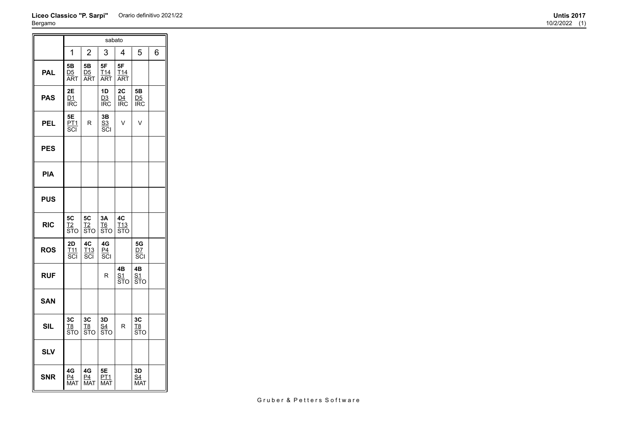### **Liceo Classico "P. Sarpi"** Orario definitivo 2021/22 **Untis 2017** Bergamo

|            |                                    |                                             | sabato                        |                                             |                                             |   |
|------------|------------------------------------|---------------------------------------------|-------------------------------|---------------------------------------------|---------------------------------------------|---|
|            | 1                                  | 2                                           | 3                             | 4                                           | 5                                           | 6 |
| <b>PAL</b> | 5Β<br>D <sub>5</sub><br>ART        | 5Β<br><u>D5</u><br>ART                      | 5F<br>T <sub>14</sub><br>ART  | 5F<br><u>T14</u><br><b>ART</b>              |                                             |   |
| <b>PAS</b> | 2E<br><u>D1</u><br><b>IRC</b>      |                                             | 1D<br><u>D3</u><br><b>IRC</b> | 2C<br>D4<br><b>IRC</b>                      | 5Β<br><u>D5</u><br><b>IRC</b>               |   |
| <b>PEL</b> | 5Е<br><u>PT1</u><br>SCI            | R                                           | 3B<br>S <sub>3</sub><br>SCI   | $\vee$                                      | V                                           |   |
| <b>PES</b> |                                    |                                             |                               |                                             |                                             |   |
| <b>PIA</b> |                                    |                                             |                               |                                             |                                             |   |
| <b>PUS</b> |                                    |                                             |                               |                                             |                                             |   |
| <b>RIC</b> | 5C<br>T <sub>2</sub><br><b>STO</b> | 5C<br>Т2<br><b>STO</b>                      | 3A<br>T6<br><b>STO</b>        | 4C<br>T13<br><b>STO</b>                     |                                             |   |
| <b>ROS</b> | 2D<br>T <sub>11</sub><br>SCI       | 4C<br><u>T13</u><br>$\overline{\text{SCI}}$ | 4G<br>$rac{P4}{SC}$           |                                             | 5G<br>DZ<br>SCI                             |   |
| <b>RUF</b> |                                    |                                             | R                             | 4B<br><u>S1</u><br>$\overline{\text{ST}}$ o | 4B<br><u>S1</u><br>$\overline{\text{ST}}$ o |   |
| <b>SAN</b> |                                    |                                             |                               |                                             |                                             |   |
| <b>SIL</b> | ЗC<br><u>T8</u><br>STO             | 3C<br><u>T8</u><br>STO                      | 3D<br><u>S4</u><br>STO        | R                                           | 3C<br><u>T8</u><br>STO                      |   |
| <b>SLV</b> |                                    |                                             |                               |                                             |                                             |   |
| <b>SNR</b> | 4G<br>P4<br><b>MAT</b>             | 4G<br>P4<br><b>MAT</b>                      | 5E<br>PT1<br><b>MAT</b>       |                                             | 3D<br><u>S4</u><br>MAT                      |   |